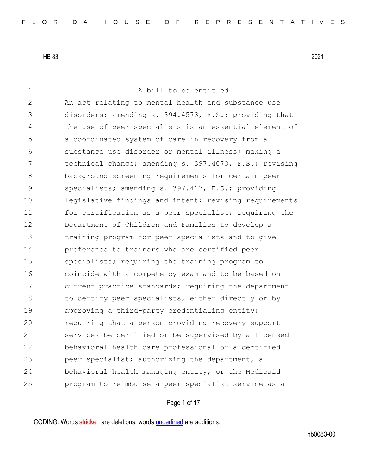1 a bill to be entitled 2 An act relating to mental health and substance use 3 disorders; amending s. 394.4573, F.S.; providing that 4 the use of peer specialists is an essential element of 5 3 5 5 a coordinated system of care in recovery from a 6 6 substance use disorder or mental illness; making a 7 technical change; amending s. 397.4073, F.S.; revising 8 background screening requirements for certain peer 9 specialists; amending s. 397.417, F.S.; providing 10 legislative findings and intent; revising requirements 11 for certification as a peer specialist; requiring the 12 Department of Children and Families to develop a 13 training program for peer specialists and to give 14 preference to trainers who are certified peer 15 specialists; requiring the training program to 16 coincide with a competency exam and to be based on 17 current practice standards; requiring the department 18 to certify peer specialists, either directly or by 19 approving a third-party credentialing entity; 20 requiring that a person providing recovery support 21 Services be certified or be supervised by a licensed 22 behavioral health care professional or a certified 23 peer specialist; authorizing the department, a 24 behavioral health managing entity, or the Medicaid 25 program to reimburse a peer specialist service as a

Page 1 of 17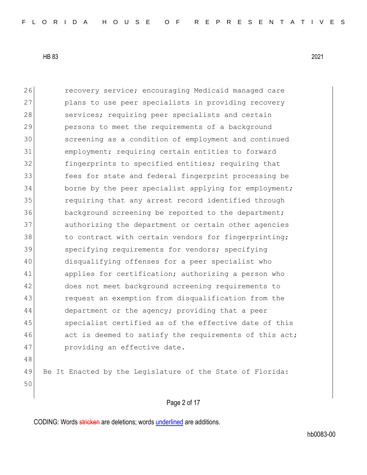50

26 **recovery service;** encouraging Medicaid managed care 27 plans to use peer specialists in providing recovery 28 services; requiring peer specialists and certain 29 persons to meet the requirements of a background 30 screening as a condition of employment and continued 31 employment; requiring certain entities to forward 32 **fingerprints to specified entities;** requiring that 33 fees for state and federal fingerprint processing be 34 borne by the peer specialist applying for employment; 35 requiring that any arrest record identified through 36 background screening be reported to the department; 37 authorizing the department or certain other agencies 38 to contract with certain vendors for fingerprinting; 39 specifying requirements for vendors; specifying 40 disqualifying offenses for a peer specialist who 41 applies for certification; authorizing a person who 42 does not meet background screening requirements to 43 request an exemption from disqualification from the 44 department or the agency; providing that a peer 45 specialist certified as of the effective date of this 46 act is deemed to satisfy the requirements of this act; 47 providing an effective date. 48 49 Be It Enacted by the Legislature of the State of Florida:

### Page 2 of 17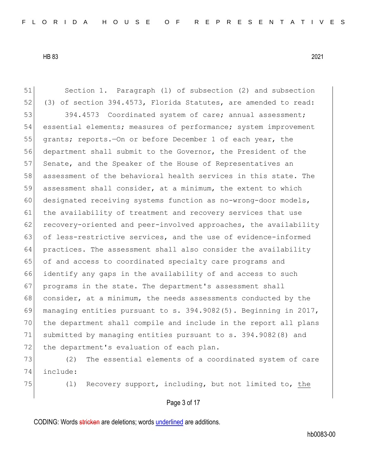51 Section 1. Paragraph (1) of subsection (2) and subsection 52 (3) of section 394.4573, Florida Statutes, are amended to read: 53 394.4573 Coordinated system of care; annual assessment; 54 essential elements; measures of performance; system improvement 55 grants; reports.—On or before December 1 of each year, the 56 department shall submit to the Governor, the President of the 57 Senate, and the Speaker of the House of Representatives an 58 assessment of the behavioral health services in this state. The 59 assessment shall consider, at a minimum, the extent to which 60 designated receiving systems function as no-wrong-door models, 61 the availability of treatment and recovery services that use 62 recovery-oriented and peer-involved approaches, the availability 63 of less-restrictive services, and the use of evidence-informed 64 practices. The assessment shall also consider the availability 65 of and access to coordinated specialty care programs and 66 identify any gaps in the availability of and access to such 67 programs in the state. The department's assessment shall 68 consider, at a minimum, the needs assessments conducted by the 69 managing entities pursuant to s.  $394.9082(5)$ . Beginning in 2017, 70 the department shall compile and include in the report all plans 71 submitted by managing entities pursuant to s. 394.9082(8) and 72 the department's evaluation of each plan. 73 (2) The essential elements of a coordinated system of care

- 74 include:
- 

75 (l) Recovery support, including, but not limited to, the

Page 3 of 17

CODING: Words stricken are deletions; words underlined are additions.

hb0083-00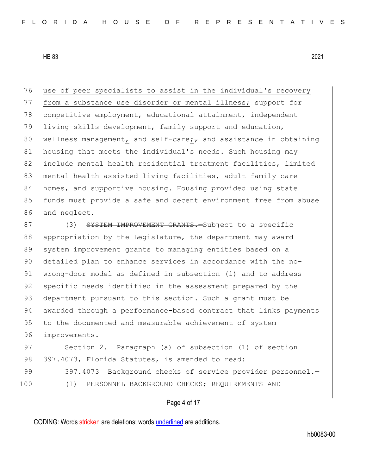76 use of peer specialists to assist in the individual's recovery 77 from a substance use disorder or mental illness; support for 78 competitive employment, educational attainment, independent 79 living skills development, family support and education, 80 wellness management, and self-care; and assistance in obtaining 81 housing that meets the individual's needs. Such housing may 82 include mental health residential treatment facilities, limited 83 | mental health assisted living facilities, adult family care 84 homes, and supportive housing. Housing provided using state 85 funds must provide a safe and decent environment free from abuse 86 and neglect.

87 (3) SYSTEM IMPROVEMENT GRANTS. Subject to a specific 88 appropriation by the Legislature, the department may award 89 system improvement grants to managing entities based on a 90 detailed plan to enhance services in accordance with the no-91 wrong-door model as defined in subsection (1) and to address 92 specific needs identified in the assessment prepared by the 93 department pursuant to this section. Such a grant must be 94 awarded through a performance-based contract that links payments 95 to the documented and measurable achievement of system 96 improvements.

97 Section 2. Paragraph (a) of subsection (1) of section 98 397.4073, Florida Statutes, is amended to read:

99 397.4073 Background checks of service provider personnel. 100 (1) PERSONNEL BACKGROUND CHECKS; REQUIREMENTS AND

### Page 4 of 17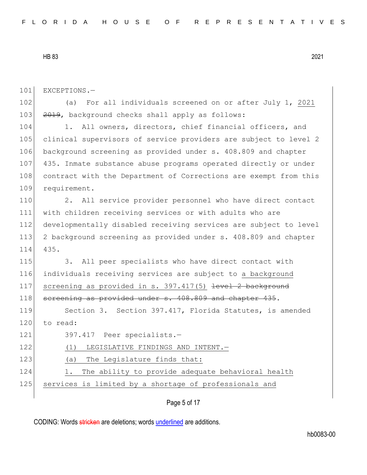101 EXCEPTIONS.-

102 (a) For all individuals screened on or after July 1, 2021 103 2019, background checks shall apply as follows:

104 1. All owners, directors, chief financial officers, and 105 clinical supervisors of service providers are subject to level 2 106 background screening as provided under s. 408.809 and chapter 107 435. Inmate substance abuse programs operated directly or under 108 contract with the Department of Corrections are exempt from this 109 requirement.

110 2. All service provider personnel who have direct contact 111 with children receiving services or with adults who are 112 developmentally disabled receiving services are subject to level 113 2 background screening as provided under s. 408.809 and chapter 114 435.

115 3. All peer specialists who have direct contact with 116 individuals receiving services are subject to a background 117 screening as provided in s. 397.417(5) <del>level 2 background</del> 118 screening as provided under s. 408.809 and chapter 435.

119 Section 3. Section 397.417, Florida Statutes, is amended 120 to read:

121 397.417 Peer specialists.-

122 (1) LEGISLATIVE FINDINGS AND INTENT.

123 (a) The Legislature finds that:

124 1. The ability to provide adequate behavioral health

125 services is limited by a shortage of professionals and

Page 5 of 17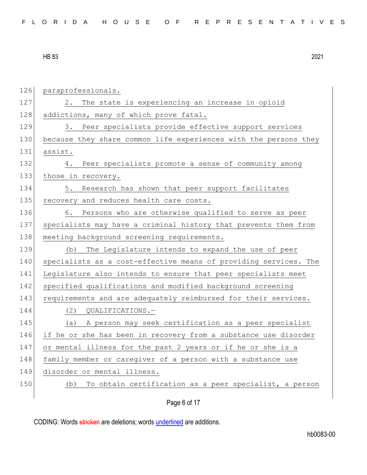| 126 | paraprofessionals.                                               |
|-----|------------------------------------------------------------------|
| 127 | The state is experiencing an increase in opioid<br>2.            |
| 128 | addictions, many of which prove fatal.                           |
| 129 | Peer specialists provide effective support services<br>3.        |
| 130 | because they share common life experiences with the persons they |
| 131 | assist.                                                          |
| 132 | Peer specialists promote a sense of community among<br>4.        |
| 133 | those in recovery.                                               |
| 134 | Research has shown that peer support facilitates<br>5.           |
| 135 | recovery and reduces health care costs.                          |
| 136 | Persons who are otherwise qualified to serve as peer<br>6.       |
| 137 | specialists may have a criminal history that prevents them from  |
| 138 | meeting background screening requirements.                       |
| 139 | The Legislature intends to expand the use of peer<br>(b)         |
| 140 | specialists as a cost-effective means of providing services. The |
| 141 | Legislature also intends to ensure that peer specialists meet    |
| 142 | specified qualifications and modified background screening       |
| 143 | requirements and are adequately reimbursed for their services.   |
| 144 | QUALIFICATIONS.-<br>(2)                                          |
| 145 | A person may seek certification as a peer specialist<br>(a)      |
| 146 | if he or she has been in recovery from a substance use disorder  |
| 147 | or mental illness for the past 2 years or if he or she is a      |
| 148 | family member or caregiver of a person with a substance use      |
| 149 | disorder or mental illness.                                      |
| 150 | To obtain certification as a peer specialist, a person<br>(b)    |
|     |                                                                  |

Page 6 of 17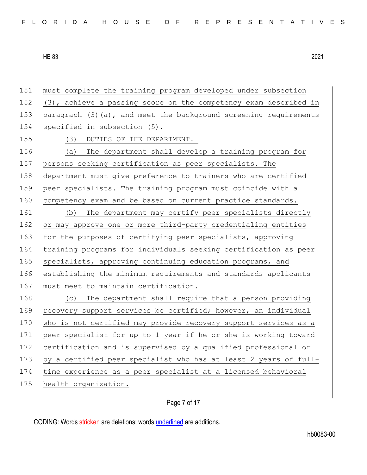151 must complete the training program developed under subsection 152 (3), achieve a passing score on the competency exam described in 153 paragraph (3)(a), and meet the background screening requirements 154 specified in subsection (5). 155 (3) DUTIES OF THE DEPARTMENT. 156 (a) The department shall develop a training program for 157 persons seeking certification as peer specialists. The 158 department must give preference to trainers who are certified 159 peer specialists. The training program must coincide with a 160 competency exam and be based on current practice standards. 161 (b) The department may certify peer specialists directly 162 or may approve one or more third-party credentialing entities 163 for the purposes of certifying peer specialists, approving 164 training programs for individuals seeking certification as peer 165 specialists, approving continuing education programs, and 166 establishing the minimum requirements and standards applicants 167 must meet to maintain certification. 168 (c) The department shall require that a person providing 169 recovery support services be certified; however, an individual 170 who is not certified may provide recovery support services as a 171 peer specialist for up to 1 year if he or she is working toward 172 certification and is supervised by a qualified professional or 173 by a certified peer specialist who has at least 2 years of full-174 time experience as a peer specialist at a licensed behavioral 175 health organization.

## Page 7 of 17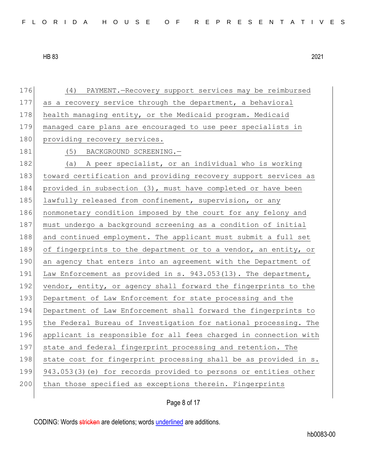176 (4) PAYMENT.—Recovery support services may be reimbursed 177 as a recovery service through the department, a behavioral 178 health managing entity, or the Medicaid program. Medicaid 179 managed care plans are encouraged to use peer specialists in 180 providing recovery services. 181 (5) BACKGROUND SCREENING. 182 (a) A peer specialist, or an individual who is working 183 toward certification and providing recovery support services as 184 provided in subsection (3), must have completed or have been 185 lawfully released from confinement, supervision, or any 186 nonmonetary condition imposed by the court for any felony and 187 must undergo a background screening as a condition of initial 188 and continued employment. The applicant must submit a full set 189 of fingerprints to the department or to a vendor, an entity, or 190 an agency that enters into an agreement with the Department of 191 Law Enforcement as provided in s. 943.053(13). The department, 192 vendor, entity, or agency shall forward the fingerprints to the 193 Department of Law Enforcement for state processing and the 194 Department of Law Enforcement shall forward the fingerprints to 195 | the Federal Bureau of Investigation for national processing. The 196 applicant is responsible for all fees charged in connection with 197 state and federal fingerprint processing and retention. The 198 state cost for fingerprint processing shall be as provided in s. 199 943.053(3)(e) for records provided to persons or entities other 200 than those specified as exceptions therein. Fingerprints

Page 8 of 17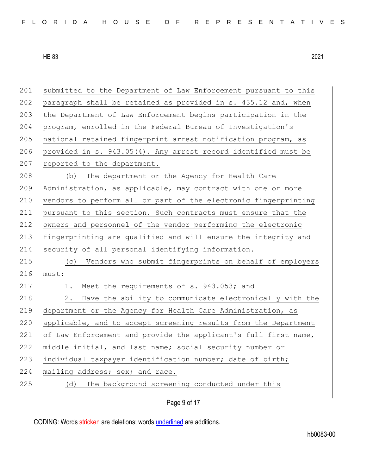| 201 | submitted to the Department of Law Enforcement pursuant to this |
|-----|-----------------------------------------------------------------|
| 202 | paragraph shall be retained as provided in s. 435.12 and, when  |
| 203 | the Department of Law Enforcement begins participation in the   |
| 204 | program, enrolled in the Federal Bureau of Investigation's      |
| 205 | national retained fingerprint arrest notification program, as   |
| 206 | provided in s. 943.05(4). Any arrest record identified must be  |
| 207 | reported to the department.                                     |
| 208 | The department or the Agency for Health Care<br>(b)             |
| 209 | Administration, as applicable, may contract with one or more    |
| 210 | vendors to perform all or part of the electronic fingerprinting |
| 211 | pursuant to this section. Such contracts must ensure that the   |
| 212 | owners and personnel of the vendor performing the electronic    |
| 213 | fingerprinting are qualified and will ensure the integrity and  |
| 214 | security of all personal identifying information.               |
| 215 | Vendors who submit fingerprints on behalf of employers<br>(C)   |
| 216 | must:                                                           |
| 217 | 1. Meet the requirements of s. 943.053; and                     |
| 218 | Have the ability to communicate electronically with the<br>2.   |
| 219 | department or the Agency for Health Care Administration, as     |
| 220 | applicable, and to accept screening results from the Department |
| 221 | of Law Enforcement and provide the applicant's full first name, |
| 222 | middle initial, and last name; social security number or        |
| 223 | individual taxpayer identification number; date of birth;       |
|     |                                                                 |
| 224 | mailing address; sex; and race.                                 |
| 225 | The background screening conducted under this<br>(d)            |

Page 9 of 17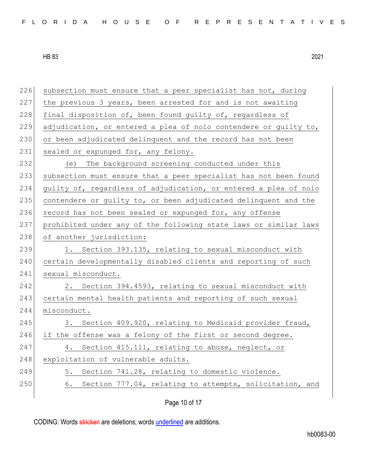226 subsection must ensure that a peer specialist has not, during 227 the previous 3 years, been arrested for and is not awaiting 228 final disposition of, been found quilty of, regardless of 229 adjudication, or entered a plea of nolo contendere or guilty to, 230 or been adjudicated delinquent and the record has not been 231 sealed or expunged for, any felony. 232 (e) The background screening conducted under this 233 subsection must ensure that a peer specialist has not been found 234 guilty of, regardless of adjudication, or entered a plea of nolo 235 contendere or quilty to, or been adjudicated delinquent and the 236 record has not been sealed or expunged for, any offense 237 prohibited under any of the following state laws or similar laws 238 of another jurisdiction: 239 1. Section 393.135, relating to sexual misconduct with 240 certain developmentally disabled clients and reporting of such 241 sexual misconduct. 242 2. Section 394.4593, relating to sexual misconduct with 243 certain mental health patients and reporting of such sexual 244 misconduct. 245 3. Section 409.920, relating to Medicaid provider fraud, 246 if the offense was a felony of the first or second degree. 247 4. Section 415.111, relating to abuse, neglect, or 248 exploitation of vulnerable adults. 249 5. Section 741.28, relating to domestic violence. 250 6. Section 777.04, relating to attempts, solicitation, and

Page 10 of 17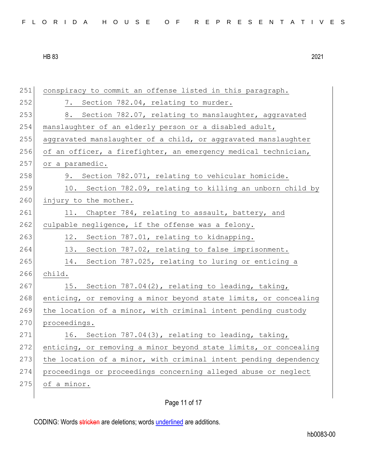| FLORIDA HOUSE OF REPRESENTATIVES |  |
|----------------------------------|--|
|----------------------------------|--|

| 251 | conspiracy to commit an offense listed in this paragraph.        |
|-----|------------------------------------------------------------------|
| 252 | 7. Section 782.04, relating to murder.                           |
| 253 | 8. Section 782.07, relating to manslaughter, aggravated          |
| 254 | manslaughter of an elderly person or a disabled adult,           |
| 255 | aggravated manslaughter of a child, or aggravated manslaughter   |
| 256 | of an officer, a firefighter, an emergency medical technician,   |
| 257 | or a paramedic.                                                  |
| 258 | 9. Section 782.071, relating to vehicular homicide.              |
| 259 | 10. Section 782.09, relating to killing an unborn child by       |
| 260 | injury to the mother.                                            |
| 261 | Chapter 784, relating to assault, battery, and<br>11.            |
| 262 | culpable negligence, if the offense was a felony.                |
| 263 | Section 787.01, relating to kidnapping.<br>12.                   |
| 264 | Section 787.02, relating to false imprisonment.<br>13.           |
| 265 | 14.<br>Section 787.025, relating to luring or enticing a         |
| 266 | child.                                                           |
| 267 | 15. Section 787.04(2), relating to leading, taking,              |
| 268 | enticing, or removing a minor beyond state limits, or concealing |
| 269 | the location of a minor, with criminal intent pending custody    |
| 270 | proceedings.                                                     |
| 271 | 16. Section 787.04(3), relating to leading, taking,              |
| 272 | enticing, or removing a minor beyond state limits, or concealing |
| 273 | the location of a minor, with criminal intent pending dependency |
| 274 | proceedings or proceedings concerning alleged abuse or neglect   |
| 275 | of a minor.                                                      |
|     |                                                                  |

# Page 11 of 17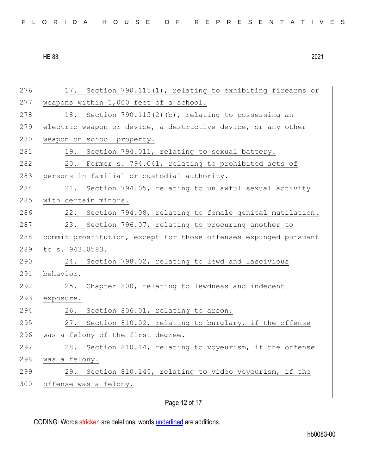| FLORIDA HOUSE OF REPRESENTATIVES |  |
|----------------------------------|--|
|----------------------------------|--|

| 276 | 17. Section 790.115(1), relating to exhibiting firearms or       |
|-----|------------------------------------------------------------------|
| 277 | weapons within 1,000 feet of a school.                           |
| 278 | 18. Section 790.115(2)(b), relating to possessing an             |
| 279 | electric weapon or device, a destructive device, or any other    |
| 280 | weapon on school property.                                       |
| 281 | 19. Section 794.011, relating to sexual battery.                 |
| 282 | 20. Former s. 794.041, relating to prohibited acts of            |
| 283 | persons in familial or custodial authority.                      |
| 284 | Section 794.05, relating to unlawful sexual activity<br>21.      |
| 285 | with certain minors.                                             |
| 286 | 22. Section 794.08, relating to female genital mutilation.       |
| 287 | 23.<br>Section 796.07, relating to procuring another to          |
| 288 | commit prostitution, except for those offenses expunged pursuant |
| 289 | to s. 943.0583.                                                  |
| 290 | 24. Section 798.02, relating to lewd and lascivious              |
| 291 | behavior.                                                        |
| 292 | 25. Chapter 800, relating to lewdness and indecent               |
| 293 | exposure.                                                        |
| 294 | Section 806.01, relating to arson.<br>26.                        |
| 295 | 27. Section 810.02, relating to burglary, if the offense         |
| 296 | was a felony of the first degree.                                |
| 297 | 28. Section 810.14, relating to voyeurism, if the offense        |
| 298 | was a felony.                                                    |
| 299 | 29. Section 810.145, relating to video voyeurism, if the         |
| 300 | offense was a felony.                                            |
|     |                                                                  |

Page 12 of 17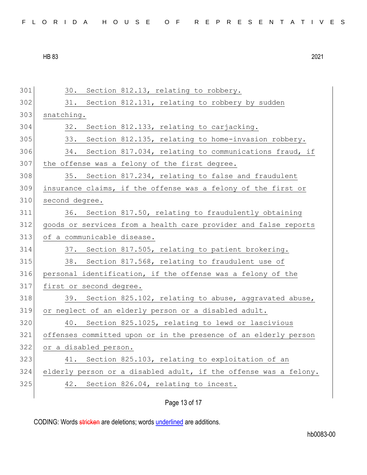| FLORIDA HOUSE OF REPRESENTATIVES |  |
|----------------------------------|--|
|----------------------------------|--|

301 30. Section 812.13, relating to robbery. 302 31. Section 812.131, relating to robbery by sudden 303 snatching. 304 32. Section 812.133, relating to carjacking. 305 33. Section 812.135, relating to home-invasion robbery. 306 34. Section 817.034, relating to communications fraud, if 307 the offense was a felony of the first degree. 308 35. Section 817.234, relating to false and fraudulent 309 insurance claims, if the offense was a felony of the first or 310 second degree. 311 36. Section 817.50, relating to fraudulently obtaining 312 goods or services from a health care provider and false reports 313 of a communicable disease. 314 37. Section 817.505, relating to patient brokering. 315 38. Section 817.568, relating to fraudulent use of 316 personal identification, if the offense was a felony of the 317 first or second degree. 318 39. Section 825.102, relating to abuse, aggravated abuse, 319 or neglect of an elderly person or a disabled adult. 320 40. Section 825.1025, relating to lewd or lascivious 321 offenses committed upon or in the presence of an elderly person 322 or a disabled person. 323 41. Section 825.103, relating to exploitation of an 324 elderly person or a disabled adult, if the offense was a felony. 325 42. Section 826.04, relating to incest.

## Page 13 of 17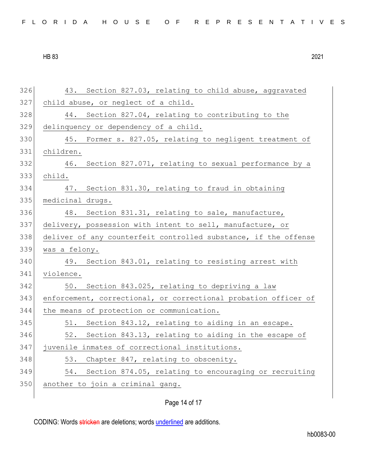|  |  |  |  |  |  |  |  |  |  |  | FLORIDA HOUSE OF REPRESENTATIVES |  |  |  |  |  |  |  |  |  |  |  |  |  |  |  |  |
|--|--|--|--|--|--|--|--|--|--|--|----------------------------------|--|--|--|--|--|--|--|--|--|--|--|--|--|--|--|--|
|--|--|--|--|--|--|--|--|--|--|--|----------------------------------|--|--|--|--|--|--|--|--|--|--|--|--|--|--|--|--|

| 326 | 43. Section 827.03, relating to child abuse, aggravated         |
|-----|-----------------------------------------------------------------|
| 327 | child abuse, or neglect of a child.                             |
| 328 | 44. Section 827.04, relating to contributing to the             |
| 329 | delinquency or dependency of a child.                           |
| 330 | 45. Former s. 827.05, relating to negligent treatment of        |
| 331 | children.                                                       |
| 332 | 46. Section 827.071, relating to sexual performance by a        |
| 333 | child.                                                          |
| 334 | Section 831.30, relating to fraud in obtaining<br>47.           |
| 335 | medicinal drugs.                                                |
| 336 | 48. Section 831.31, relating to sale, manufacture,              |
| 337 | delivery, possession with intent to sell, manufacture, or       |
| 338 | deliver of any counterfeit controlled substance, if the offense |
| 339 | was a felony.                                                   |
| 340 | 49. Section 843.01, relating to resisting arrest with           |
| 341 | violence.                                                       |
| 342 | 50. Section 843.025, relating to depriving a law                |
| 343 | enforcement, correctional, or correctional probation officer of |
| 344 | the means of protection or communication.                       |
| 345 | 51. Section 843.12, relating to aiding in an escape.            |
| 346 | 52. Section 843.13, relating to aiding in the escape of         |
| 347 | juvenile inmates of correctional institutions.                  |
| 348 | Chapter 847, relating to obscenity.<br>53.                      |
| 349 | Section 874.05, relating to encouraging or recruiting<br>54.    |
| 350 | another to join a criminal gang.                                |
|     |                                                                 |

# Page 14 of 17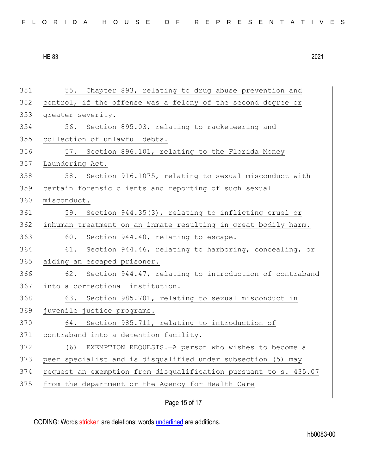| FLORIDA HOUSE OF REPRESENTATIVES |  |
|----------------------------------|--|
|----------------------------------|--|

| 351 | 55. Chapter 893, relating to drug abuse prevention and           |
|-----|------------------------------------------------------------------|
| 352 | control, if the offense was a felony of the second degree or     |
| 353 | greater severity.                                                |
| 354 | 56. Section 895.03, relating to racketeering and                 |
| 355 | collection of unlawful debts.                                    |
| 356 | 57. Section 896.101, relating to the Florida Money               |
| 357 | Laundering Act.                                                  |
| 358 | 58. Section 916.1075, relating to sexual misconduct with         |
| 359 | certain forensic clients and reporting of such sexual            |
| 360 | misconduct.                                                      |
| 361 | 59. Section 944.35(3), relating to inflicting cruel or           |
| 362 | inhuman treatment on an inmate resulting in great bodily harm.   |
| 363 | 60. Section 944.40, relating to escape.                          |
| 364 | 61. Section 944.46, relating to harboring, concealing, or        |
| 365 | aiding an escaped prisoner.                                      |
| 366 | 62. Section 944.47, relating to introduction of contraband       |
| 367 | into a correctional institution.                                 |
| 368 | 63. Section 985.701, relating to sexual misconduct in            |
| 369 | juvenile justice programs.                                       |
| 370 | 64. Section 985.711, relating to introduction of                 |
| 371 | contraband into a detention facility.                            |
| 372 | (6) EXEMPTION REQUESTS. - A person who wishes to become a        |
| 373 | peer specialist and is disqualified under subsection (5) may     |
| 374 | request an exemption from disqualification pursuant to s. 435.07 |
| 375 | from the department or the Agency for Health Care                |
|     |                                                                  |

Page 15 of 17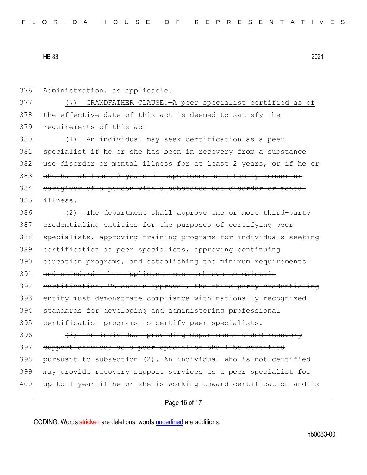376 Administration, as applicable. 377 (7) GRANDFATHER CLAUSE.—A peer specialist certified as of 378 the effective date of this act is deemed to satisfy the 379 requirements of this act  $380$  (1) An individual may seek certification as a peer 381 specialist if he or she has been in recovery from a substance 382 use disorder or mental illness for at least 2 years, or if he or 383 she has at least 2 years of experience as a family member or 384 caregiver of a person with a substance use disorder or mental  $385$   $\frac{11}{100}$  $386$  (2) The department shall approve one or more third-party 387 credentialing entities for the purposes of certifying peer 388 specialists, approving training programs for individuals seeking 389 certification as peer specialists, approving continuing 390 education programs, and establishing the minimum requirements 391 and standards that applicants must achieve to maintain 392 certification. To obtain approval, the third-party credentialing 393 entity must demonstrate compliance with nationally recognized 394 standards for developing and administering professional 395 certification programs to certify peer specialists. 396 (3) An individual providing department-funded recovery 397 support services as a peer specialist shall be certified  $398$  pursuant to subsection  $(2)$ . An individual who is not certified 399 may provide recovery support services as a peer specialist for 400 up to 1 year if he or she is working toward certification and is

Page 16 of 17